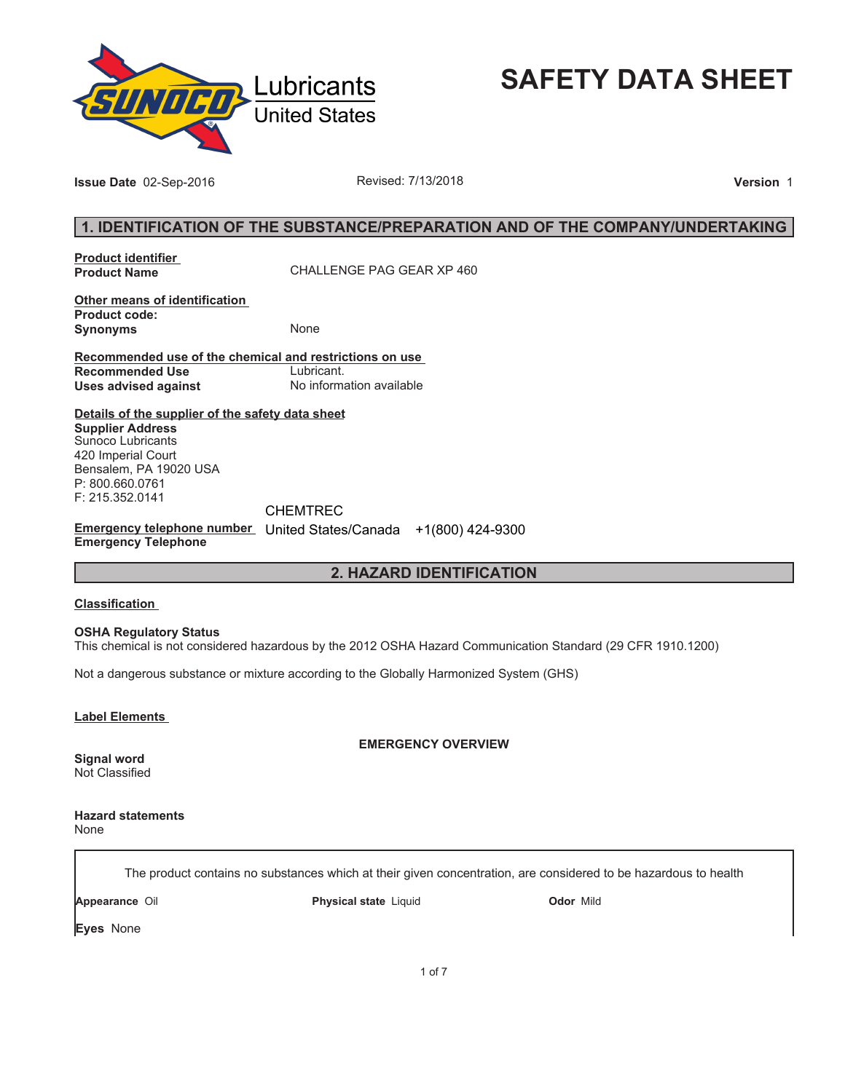

**SAFETY DATA SHEET**

**Issue Date** 02-Sep-2016 **Revised: 7/13/2018 Proposed: 7/13/2018 Version** 1

# **1. IDENTIFICATION OF THE SUBSTANCE/PREPARATION AND OF THE COMPANY/UNDERTAKING**

**Product identifier** 

**Product Name** CHALLENGE PAG GEAR XP 460

**Other means of identification Product code: Synonyms** None

**Recommended use of the chemical and restrictions on use Recommended Use<br>Uses advised against Uses advised against** No information available

**Details of the supplier of the safety data sheet Supplier Address** Sunoco Lubricants 420 Imperial Court Bensalem, PA 19020 USA P: 800.660.0761 F: 215.352.0141

CHEMTREC

**Emergency telephone number**  United States/Canada +1(800) 424-9300**Emergency Telephone**

# **2. HAZARD IDENTIFICATION**

#### **Classification**

**OSHA Regulatory Status**

This chemical is not considered hazardous by the 2012 OSHA Hazard Communication Standard (29 CFR 1910.1200)

Not a dangerous substance or mixture according to the Globally Harmonized System (GHS)

**Label Elements** 

**EMERGENCY OVERVIEW**

**Signal word** Not Classified

**Hazard statements** None

The product contains no substances which at their given concentration, are considered to be hazardous to health

**Appearance** Oil **Physical state** Liquid **Odor** Mild

**Eyes** None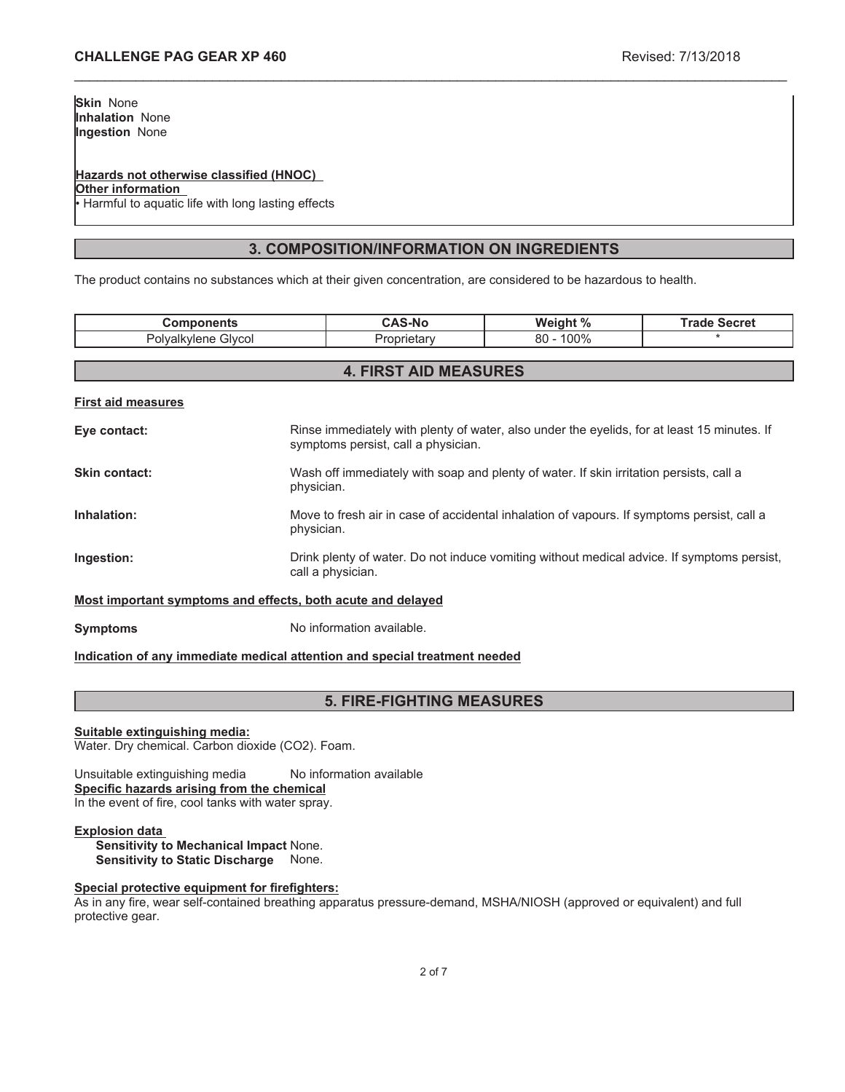### **Hazards not otherwise classified (HNOC)**

**Other information**

Harmful to aquatic life with long lasting effects

# **3. COMPOSITION/INFORMATION ON INGREDIENTS**

\_\_\_\_\_\_\_\_\_\_\_\_\_\_\_\_\_\_\_\_\_\_\_\_\_\_\_\_\_\_\_\_\_\_\_\_\_\_\_\_\_\_\_\_\_\_\_\_\_\_\_\_\_\_\_\_\_\_\_\_\_\_\_\_\_\_\_\_\_\_\_\_\_\_\_\_\_\_\_\_\_\_\_\_\_\_\_\_\_\_\_\_\_

The product contains no substances which at their given concentration, are considered to be hazardous to health.

| <b>Components</b>                                           |                                                                                                                                    | <b>CAS-No</b>                | Weight %     | <b>Trade Secret</b> |
|-------------------------------------------------------------|------------------------------------------------------------------------------------------------------------------------------------|------------------------------|--------------|---------------------|
| Polyalkylene Glycol                                         |                                                                                                                                    | Proprietary                  | $80 - 100\%$ |                     |
|                                                             |                                                                                                                                    |                              |              |                     |
|                                                             |                                                                                                                                    | <b>4. FIRST AID MEASURES</b> |              |                     |
| <b>First aid measures</b>                                   |                                                                                                                                    |                              |              |                     |
| Eye contact:                                                | Rinse immediately with plenty of water, also under the eyelids, for at least 15 minutes. If<br>symptoms persist, call a physician. |                              |              |                     |
| Skin contact:                                               | Wash off immediately with soap and plenty of water. If skin irritation persists, call a<br>physician.                              |                              |              |                     |
| Inhalation:                                                 | Move to fresh air in case of accidental inhalation of vapours. If symptoms persist, call a<br>physician.                           |                              |              |                     |
| Ingestion:                                                  | Drink plenty of water. Do not induce vomiting without medical advice. If symptoms persist,<br>call a physician.                    |                              |              |                     |
| Most important symptoms and effects, both acute and delayed |                                                                                                                                    |                              |              |                     |

**Symptoms** No information available.

# **Indication of any immediate medical attention and special treatment needed**

# **5. FIRE-FIGHTING MEASURES**

### **Suitable extinguishing media:**

Water. Dry chemical. Carbon dioxide (CO2). Foam.

Unsuitable extinguishing media No information available **Specific hazards arising from the chemical** In the event of fire, cool tanks with water spray.

### **Explosion data**

**Sensitivity to Mechanical Impact** None. **Sensitivity to Static Discharge** None.

### **Special protective equipment for firefighters:**

As in any fire, wear self-contained breathing apparatus pressure-demand, MSHA/NIOSH (approved or equivalent) and full protective gear.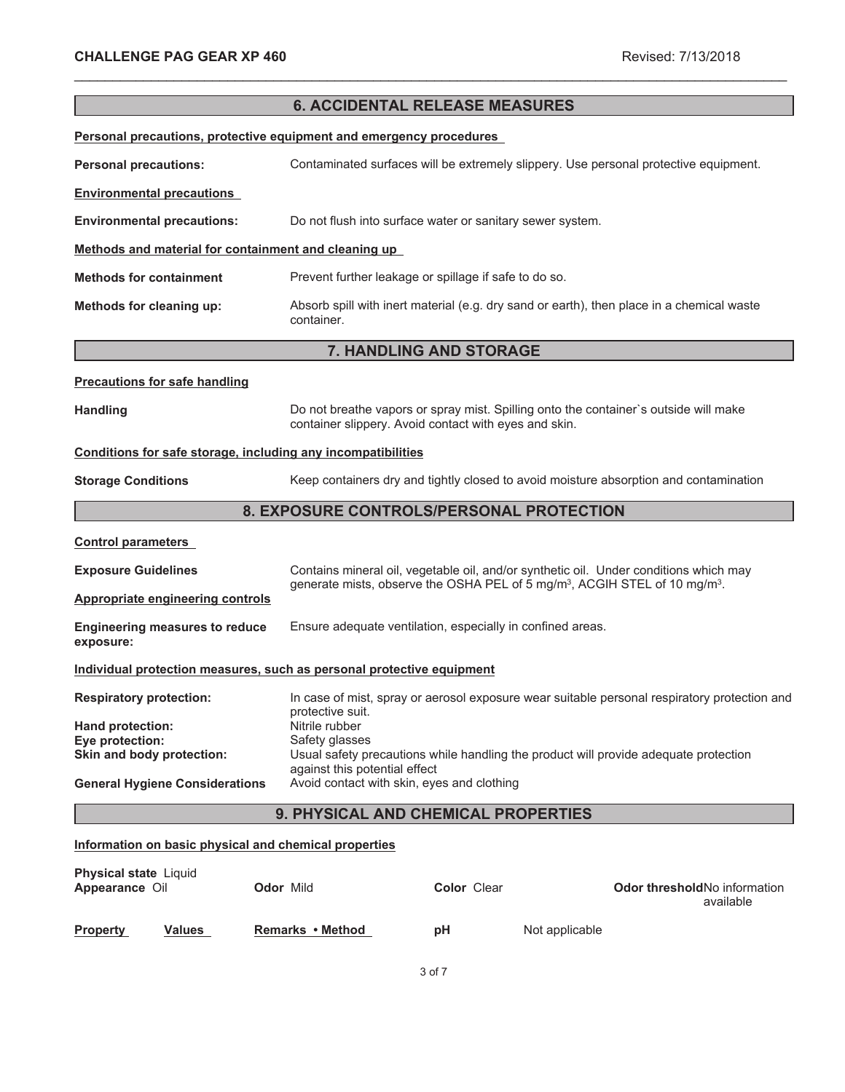|                                                                       |                                                                             | <b>6. ACCIDENTAL RELEASE MEASURES</b>                      |                                                                                                    |  |
|-----------------------------------------------------------------------|-----------------------------------------------------------------------------|------------------------------------------------------------|----------------------------------------------------------------------------------------------------|--|
| Personal precautions, protective equipment and emergency procedures   |                                                                             |                                                            |                                                                                                    |  |
| <b>Personal precautions:</b>                                          |                                                                             |                                                            | Contaminated surfaces will be extremely slippery. Use personal protective equipment.               |  |
| <b>Environmental precautions</b>                                      |                                                                             |                                                            |                                                                                                    |  |
| <b>Environmental precautions:</b>                                     |                                                                             | Do not flush into surface water or sanitary sewer system.  |                                                                                                    |  |
| Methods and material for containment and cleaning up                  |                                                                             |                                                            |                                                                                                    |  |
| <b>Methods for containment</b>                                        |                                                                             | Prevent further leakage or spillage if safe to do so.      |                                                                                                    |  |
| Methods for cleaning up:                                              | container.                                                                  |                                                            | Absorb spill with inert material (e.g. dry sand or earth), then place in a chemical waste          |  |
|                                                                       |                                                                             | 7. HANDLING AND STORAGE                                    |                                                                                                    |  |
| <b>Precautions for safe handling</b>                                  |                                                                             |                                                            |                                                                                                    |  |
| <b>Handling</b>                                                       |                                                                             | container slippery. Avoid contact with eyes and skin.      | Do not breathe vapors or spray mist. Spilling onto the container's outside will make               |  |
| Conditions for safe storage, including any incompatibilities          |                                                                             |                                                            |                                                                                                    |  |
| <b>Storage Conditions</b>                                             |                                                                             |                                                            | Keep containers dry and tightly closed to avoid moisture absorption and contamination              |  |
| 8. EXPOSURE CONTROLS/PERSONAL PROTECTION                              |                                                                             |                                                            |                                                                                                    |  |
| <b>Control parameters</b>                                             |                                                                             |                                                            |                                                                                                    |  |
| <b>Exposure Guidelines</b>                                            |                                                                             |                                                            | Contains mineral oil, vegetable oil, and/or synthetic oil. Under conditions which may              |  |
| <b>Appropriate engineering controls</b>                               |                                                                             |                                                            | generate mists, observe the OSHA PEL of 5 mg/m <sup>3</sup> , ACGIH STEL of 10 mg/m <sup>3</sup> . |  |
| <b>Engineering measures to reduce</b><br>exposure:                    |                                                                             | Ensure adequate ventilation, especially in confined areas. |                                                                                                    |  |
| Individual protection measures, such as personal protective equipment |                                                                             |                                                            |                                                                                                    |  |
| <b>Respiratory protection:</b>                                        | protective suit.                                                            |                                                            | In case of mist, spray or aerosol exposure wear suitable personal respiratory protection and       |  |
| Hand protection:                                                      | Nitrile rubber                                                              |                                                            |                                                                                                    |  |
| Eye protection:<br>Skin and body protection:                          | Safety glasses                                                              |                                                            | Usual safety precautions while handling the product will provide adequate protection               |  |
| <b>General Hygiene Considerations</b>                                 | against this potential effect<br>Avoid contact with skin, eyes and clothing |                                                            |                                                                                                    |  |
| 9. PHYSICAL AND CHEMICAL PROPERTIES                                   |                                                                             |                                                            |                                                                                                    |  |
| Information on basic physical and chemical properties                 |                                                                             |                                                            |                                                                                                    |  |
| Physical state Liquid<br>Appearance Oil                               | Odor Mild                                                                   | Color Clear                                                | Odor threshold No information                                                                      |  |

\_\_\_\_\_\_\_\_\_\_\_\_\_\_\_\_\_\_\_\_\_\_\_\_\_\_\_\_\_\_\_\_\_\_\_\_\_\_\_\_\_\_\_\_\_\_\_\_\_\_\_\_\_\_\_\_\_\_\_\_\_\_\_\_\_\_\_\_\_\_\_\_\_\_\_\_\_\_\_\_\_\_\_\_\_\_\_\_\_\_\_\_\_

|                 |               |                  |    |                | available |
|-----------------|---------------|------------------|----|----------------|-----------|
| <b>Property</b> | <b>Values</b> | Remarks • Method | рH | Not applicable |           |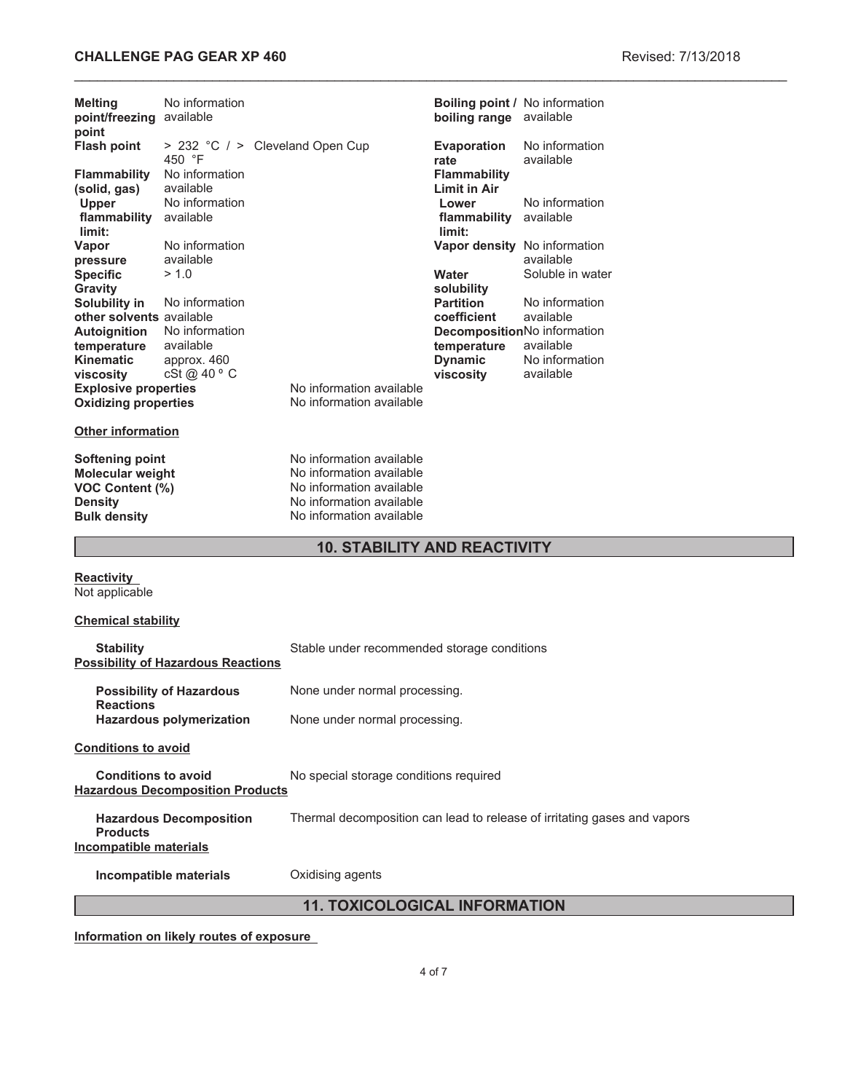# **CHALLENGE PAG GEAR XP 460 Revised: 7/13/2018**

| <b>Melting</b><br>point/freezing available<br>point                                                    | No information                            |                                                                                                                                          | boiling range available                    | <b>Boiling point / No information</b>     |  |
|--------------------------------------------------------------------------------------------------------|-------------------------------------------|------------------------------------------------------------------------------------------------------------------------------------------|--------------------------------------------|-------------------------------------------|--|
| <b>Flash point</b>                                                                                     | 450 °F                                    | > 232 °C / > Cleveland Open Cup                                                                                                          | <b>Evaporation</b><br>rate                 | No information<br>available               |  |
| <b>Flammability</b><br>(solid, gas)                                                                    | No information<br>available               |                                                                                                                                          | <b>Flammability</b><br><b>Limit in Air</b> |                                           |  |
| Upper<br>flammability<br>limit:                                                                        | No information<br>available               |                                                                                                                                          | Lower<br>flammability available<br>limit:  | No information                            |  |
| Vapor<br>pressure                                                                                      | No information<br>available               |                                                                                                                                          |                                            | Vapor density No information<br>available |  |
| <b>Specific</b><br><b>Gravity</b><br>Solubility in                                                     | > 1.0<br>No information                   |                                                                                                                                          | Water<br>solubility<br><b>Partition</b>    | Soluble in water<br>No information        |  |
| other solvents available<br><b>Autoignition</b>                                                        | No information                            |                                                                                                                                          | coefficient                                | available<br>DecompositionNo information  |  |
| temperature<br><b>Kinematic</b>                                                                        | available<br>approx. 460                  |                                                                                                                                          | temperature<br><b>Dynamic</b>              | available<br>No information               |  |
| viscosity<br><b>Explosive properties</b><br><b>Oxidizing properties</b>                                | cSt @ 40 ° C                              | No information available<br>No information available                                                                                     | viscosity                                  | available                                 |  |
| <b>Other information</b>                                                                               |                                           |                                                                                                                                          |                                            |                                           |  |
| <b>Softening point</b><br>Molecular weight<br>VOC Content (%)<br><b>Density</b><br><b>Bulk density</b> |                                           | No information available<br>No information available<br>No information available<br>No information available<br>No information available |                                            |                                           |  |
|                                                                                                        |                                           | <b>10. STABILITY AND REACTIVITY</b>                                                                                                      |                                            |                                           |  |
| <b>Reactivity</b><br>Not applicable                                                                    |                                           |                                                                                                                                          |                                            |                                           |  |
| <b>Chemical stability</b>                                                                              |                                           |                                                                                                                                          |                                            |                                           |  |
| <b>Stability</b>                                                                                       | <b>Possibility of Hazardous Reactions</b> | Stable under recommended storage conditions                                                                                              |                                            |                                           |  |
| <b>Reactions</b>                                                                                       | <b>Possibility of Hazardous</b>           | None under normal processing.                                                                                                            |                                            |                                           |  |
|                                                                                                        | <b>Hazardous polymerization</b>           | None under normal processing.                                                                                                            |                                            |                                           |  |
| <b>Conditions to avoid</b>                                                                             |                                           |                                                                                                                                          |                                            |                                           |  |
| <b>Conditions to avoid</b>                                                                             | <b>Hazardous Decomposition Products</b>   | No special storage conditions required                                                                                                   |                                            |                                           |  |

**Hazardous Decomposition Products** Thermal decomposition can lead to release of irritating gases and vapors **Incompatible materials**

**Incompatible materials Oxidising agents** 

# **11. TOXICOLOGICAL INFORMATION**

**Information on likely routes of exposure**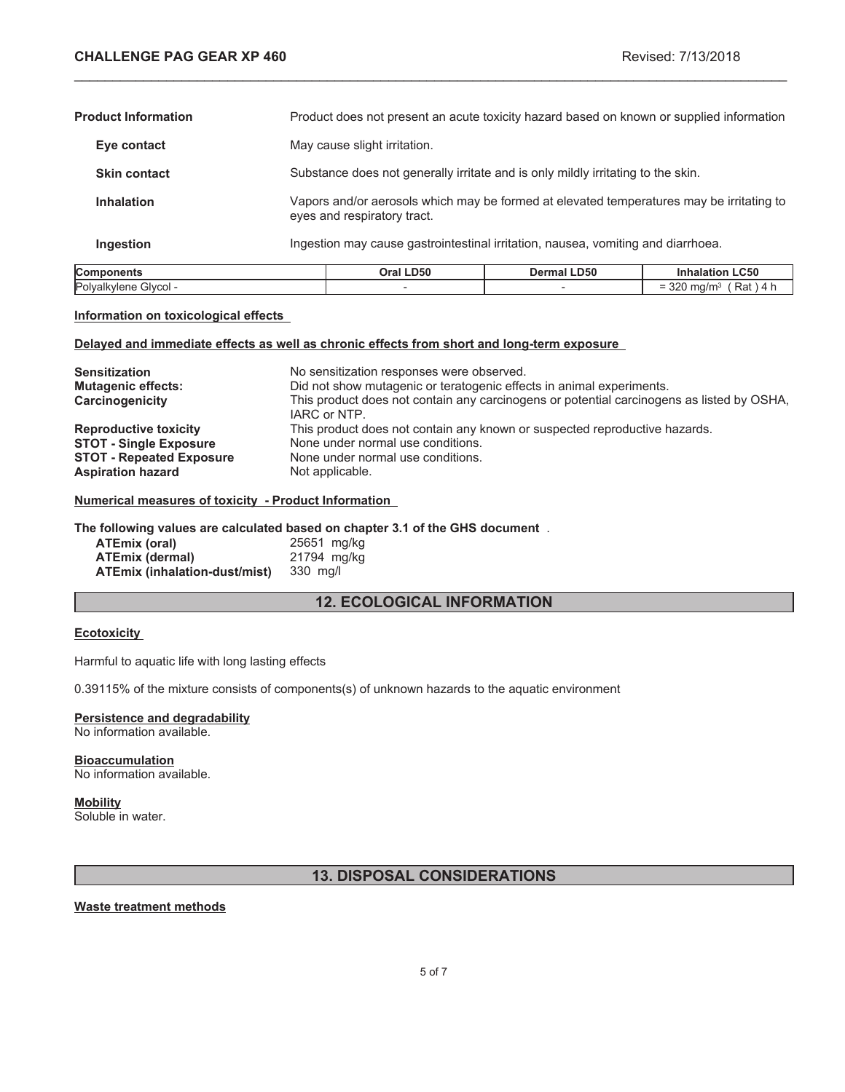$= 320$  mg/m<sup>3</sup> (Rat ) 4 h

| Components                 | Oral LD50                                                                                                               | <b>Dermal LD50</b>                                                                       | <b>Inhalation LC50</b> |
|----------------------------|-------------------------------------------------------------------------------------------------------------------------|------------------------------------------------------------------------------------------|------------------------|
| Ingestion                  | Ingestion may cause gastrointestinal irritation, nausea, vomiting and diarrhoea.                                        |                                                                                          |                        |
| <b>Inhalation</b>          | Vapors and/or aerosols which may be formed at elevated temperatures may be irritating to<br>eyes and respiratory tract. |                                                                                          |                        |
| <b>Skin contact</b>        | Substance does not generally irritate and is only mildly irritating to the skin.                                        |                                                                                          |                        |
| Eye contact                | May cause slight irritation.                                                                                            |                                                                                          |                        |
| <b>Product Information</b> |                                                                                                                         | Product does not present an acute toxicity hazard based on known or supplied information |                        |

\_\_\_\_\_\_\_\_\_\_\_\_\_\_\_\_\_\_\_\_\_\_\_\_\_\_\_\_\_\_\_\_\_\_\_\_\_\_\_\_\_\_\_\_\_\_\_\_\_\_\_\_\_\_\_\_\_\_\_\_\_\_\_\_\_\_\_\_\_\_\_\_\_\_\_\_\_\_\_\_\_\_\_\_\_\_\_\_\_\_\_\_\_

#### **Information on toxicological effects**

### **Delayed and immediate effects as well as chronic effects from short and long-term exposure**

Polyalkylene Glycol -  $\overline{\phantom{a}}$  -  $\overline{\phantom{a}}$  -

| <b>Sensitization</b><br><b>Mutagenic effects:</b><br>Carcinogenicity | No sensitization responses were observed.<br>Did not show mutagenic or teratogenic effects in animal experiments.<br>This product does not contain any carcinogens or potential carcinogens as listed by OSHA,<br>IARC or NTP. |
|----------------------------------------------------------------------|--------------------------------------------------------------------------------------------------------------------------------------------------------------------------------------------------------------------------------|
| <b>Reproductive toxicity</b>                                         | This product does not contain any known or suspected reproductive hazards.                                                                                                                                                     |
| <b>STOT - Single Exposure</b>                                        | None under normal use conditions.                                                                                                                                                                                              |
| <b>STOT - Repeated Exposure</b>                                      | None under normal use conditions.                                                                                                                                                                                              |
| <b>Aspiration hazard</b>                                             | Not applicable.                                                                                                                                                                                                                |

### **Numerical measures of toxicity - Product Information**

#### **The following values are calculated based on chapter 3.1 of the GHS document** .

| ATEmix (oral)                        | 25651 mg/kg |
|--------------------------------------|-------------|
| <b>ATEmix (dermal)</b>               | 21794 mg/kg |
| <b>ATEmix (inhalation-dust/mist)</b> | 330 mg/l    |

# **12. ECOLOGICAL INFORMATION**

### **Ecotoxicity**

Harmful to aquatic life with long lasting effects

0.39115% of the mixture consists of components(s) of unknown hazards to the aquatic environment

# **Persistence and degradability**

No information available.

#### **Bioaccumulation** No information available.

# **Mobility**

Soluble in water.

# **13. DISPOSAL CONSIDERATIONS**

### **Waste treatment methods**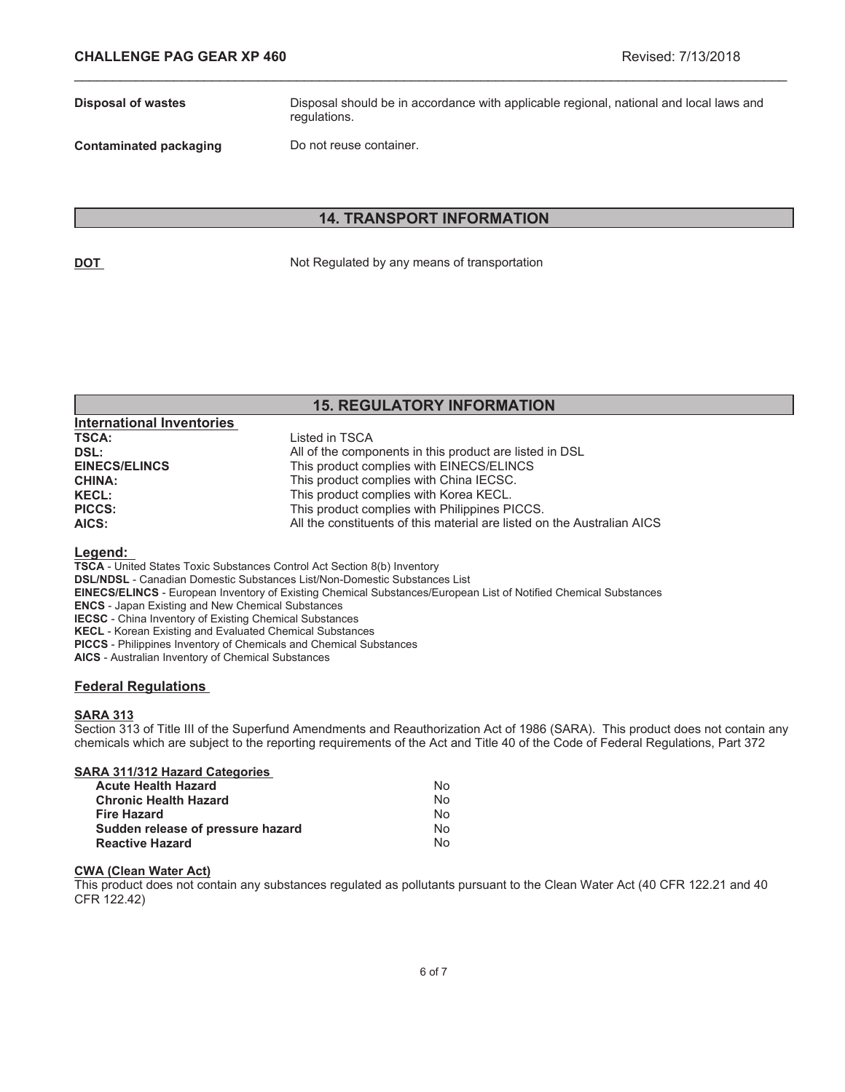**Disposal of wastes** Disposal should be in accordance with applicable regional, national and local laws and regulations.

**Contaminated packaging Do not reuse container.** 

## **14. TRANSPORT INFORMATION**

\_\_\_\_\_\_\_\_\_\_\_\_\_\_\_\_\_\_\_\_\_\_\_\_\_\_\_\_\_\_\_\_\_\_\_\_\_\_\_\_\_\_\_\_\_\_\_\_\_\_\_\_\_\_\_\_\_\_\_\_\_\_\_\_\_\_\_\_\_\_\_\_\_\_\_\_\_\_\_\_\_\_\_\_\_\_\_\_\_\_\_\_\_

**DOT** Not Regulated by any means of transportation

# **15. REGULATORY INFORMATION**

| <b>International Inventories</b> |                                                                         |
|----------------------------------|-------------------------------------------------------------------------|
| <b>TSCA:</b>                     | Listed in TSCA                                                          |
| DSL:                             | All of the components in this product are listed in DSL                 |
| <b>EINECS/ELINCS</b>             | This product complies with EINECS/ELINCS                                |
| <b>CHINA:</b>                    | This product complies with China IECSC.                                 |
| <b>KECL:</b>                     | This product complies with Korea KECL.                                  |
| <b>PICCS:</b>                    | This product complies with Philippines PICCS.                           |
| AICS:                            | All the constituents of this material are listed on the Australian AICS |

#### **Legend:**

**TSCA** - United States Toxic Substances Control Act Section 8(b) Inventory

**DSL/NDSL** - Canadian Domestic Substances List/Non-Domestic Substances List

- **EINECS/ELINCS** European Inventory of Existing Chemical Substances/European List of Notified Chemical Substances
- **ENCS** Japan Existing and New Chemical Substances

**IECSC** - China Inventory of Existing Chemical Substances

**KECL** - Korean Existing and Evaluated Chemical Substances

**PICCS** - Philippines Inventory of Chemicals and Chemical Substances

**AICS** - Australian Inventory of Chemical Substances

### **Federal Regulations**

### **SARA 313**

Section 313 of Title III of the Superfund Amendments and Reauthorization Act of 1986 (SARA). This product does not contain any chemicals which are subject to the reporting requirements of the Act and Title 40 of the Code of Federal Regulations, Part 372

| SARA 311/312 Hazard Categories    |    |
|-----------------------------------|----|
| <b>Acute Health Hazard</b>        | N٥ |
| <b>Chronic Health Hazard</b>      | N٥ |
| <b>Fire Hazard</b>                | N٥ |
| Sudden release of pressure hazard | N٥ |
| <b>Reactive Hazard</b>            | N٥ |

#### **CWA (Clean Water Act)**

This product does not contain any substances regulated as pollutants pursuant to the Clean Water Act (40 CFR 122.21 and 40 CFR 122.42)